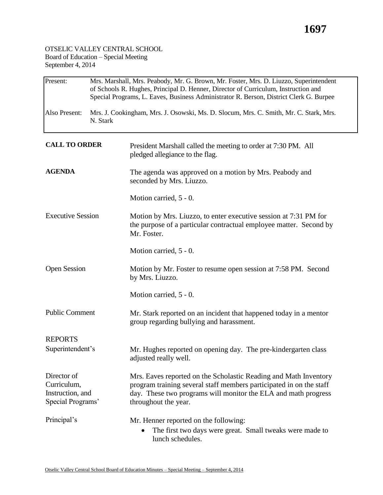## **1697**

## OTSELIC VALLEY CENTRAL SCHOOL Board of Education – Special Meeting September 4, 2014

| Present:                                                            | Mrs. Marshall, Mrs. Peabody, Mr. G. Brown, Mr. Foster, Mrs. D. Liuzzo, Superintendent<br>of Schools R. Hughes, Principal D. Henner, Director of Curriculum, Instruction and<br>Special Programs, L. Eaves, Business Administrator R. Berson, District Clerk G. Burpee |                                                                                                                                                                                                                                   |  |  |  |
|---------------------------------------------------------------------|-----------------------------------------------------------------------------------------------------------------------------------------------------------------------------------------------------------------------------------------------------------------------|-----------------------------------------------------------------------------------------------------------------------------------------------------------------------------------------------------------------------------------|--|--|--|
| Also Present:                                                       | Mrs. J. Cookingham, Mrs. J. Osowski, Ms. D. Slocum, Mrs. C. Smith, Mr. C. Stark, Mrs.<br>N. Stark                                                                                                                                                                     |                                                                                                                                                                                                                                   |  |  |  |
| <b>CALL TO ORDER</b>                                                |                                                                                                                                                                                                                                                                       | President Marshall called the meeting to order at 7:30 PM. All<br>pledged allegiance to the flag.                                                                                                                                 |  |  |  |
| <b>AGENDA</b>                                                       |                                                                                                                                                                                                                                                                       | The agenda was approved on a motion by Mrs. Peabody and<br>seconded by Mrs. Liuzzo.                                                                                                                                               |  |  |  |
|                                                                     |                                                                                                                                                                                                                                                                       | Motion carried, 5 - 0.                                                                                                                                                                                                            |  |  |  |
| <b>Executive Session</b>                                            |                                                                                                                                                                                                                                                                       | Motion by Mrs. Liuzzo, to enter executive session at 7:31 PM for<br>the purpose of a particular contractual employee matter. Second by<br>Mr. Foster.                                                                             |  |  |  |
|                                                                     |                                                                                                                                                                                                                                                                       | Motion carried, 5 - 0.                                                                                                                                                                                                            |  |  |  |
| <b>Open Session</b>                                                 |                                                                                                                                                                                                                                                                       | Motion by Mr. Foster to resume open session at 7:58 PM. Second<br>by Mrs. Liuzzo.                                                                                                                                                 |  |  |  |
|                                                                     |                                                                                                                                                                                                                                                                       | Motion carried, 5 - 0.                                                                                                                                                                                                            |  |  |  |
| <b>Public Comment</b>                                               |                                                                                                                                                                                                                                                                       | Mr. Stark reported on an incident that happened today in a mentor<br>group regarding bullying and harassment.                                                                                                                     |  |  |  |
| <b>REPORTS</b>                                                      |                                                                                                                                                                                                                                                                       |                                                                                                                                                                                                                                   |  |  |  |
| Superintendent's                                                    |                                                                                                                                                                                                                                                                       | Mr. Hughes reported on opening day. The pre-kindergarten class<br>adjusted really well.                                                                                                                                           |  |  |  |
| Director of<br>Curriculum,<br>Instruction, and<br>Special Programs' |                                                                                                                                                                                                                                                                       | Mrs. Eaves reported on the Scholastic Reading and Math Inventory<br>program training several staff members participated in on the staff<br>day. These two programs will monitor the ELA and math progress<br>throughout the year. |  |  |  |
| Principal's                                                         |                                                                                                                                                                                                                                                                       | Mr. Henner reported on the following:<br>The first two days were great. Small tweaks were made to<br>lunch schedules.                                                                                                             |  |  |  |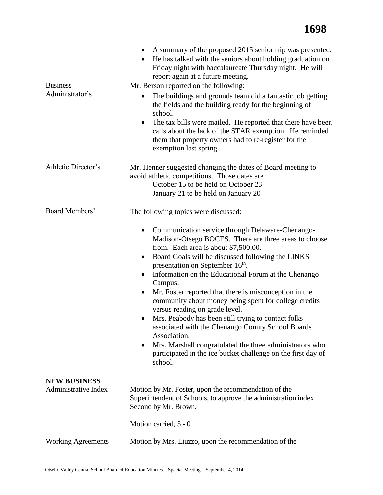## **1698**

|                                             | A summary of the proposed 2015 senior trip was presented.<br>٠<br>He has talked with the seniors about holding graduation on<br>Friday night with baccalaureate Thursday night. He will<br>report again at a future meeting.                                                                                                                                                                                                                                                                                                                                                                                                                                                                                                                                                                          |  |  |  |
|---------------------------------------------|-------------------------------------------------------------------------------------------------------------------------------------------------------------------------------------------------------------------------------------------------------------------------------------------------------------------------------------------------------------------------------------------------------------------------------------------------------------------------------------------------------------------------------------------------------------------------------------------------------------------------------------------------------------------------------------------------------------------------------------------------------------------------------------------------------|--|--|--|
| <b>Business</b>                             | Mr. Berson reported on the following:                                                                                                                                                                                                                                                                                                                                                                                                                                                                                                                                                                                                                                                                                                                                                                 |  |  |  |
| Administrator's                             | The buildings and grounds team did a fantastic job getting<br>$\bullet$<br>the fields and the building ready for the beginning of<br>school.                                                                                                                                                                                                                                                                                                                                                                                                                                                                                                                                                                                                                                                          |  |  |  |
|                                             | The tax bills were mailed. He reported that there have been<br>$\bullet$<br>calls about the lack of the STAR exemption. He reminded<br>them that property owners had to re-register for the<br>exemption last spring.                                                                                                                                                                                                                                                                                                                                                                                                                                                                                                                                                                                 |  |  |  |
| Athletic Director's                         | Mr. Henner suggested changing the dates of Board meeting to<br>avoid athletic competitions. Those dates are<br>October 15 to be held on October 23<br>January 21 to be held on January 20                                                                                                                                                                                                                                                                                                                                                                                                                                                                                                                                                                                                             |  |  |  |
| Board Members'                              | The following topics were discussed:                                                                                                                                                                                                                                                                                                                                                                                                                                                                                                                                                                                                                                                                                                                                                                  |  |  |  |
|                                             | Communication service through Delaware-Chenango-<br>$\bullet$<br>Madison-Otsego BOCES. There are three areas to choose<br>from. Each area is about \$7,500.00.<br>Board Goals will be discussed following the LINKS<br>$\bullet$<br>presentation on September 16 <sup>th</sup> .<br>Information on the Educational Forum at the Chenango<br>Campus.<br>Mr. Foster reported that there is misconception in the<br>$\bullet$<br>community about money being spent for college credits<br>versus reading on grade level.<br>Mrs. Peabody has been still trying to contact folks<br>associated with the Chenango County School Boards<br>Association.<br>Mrs. Marshall congratulated the three administrators who<br>$\bullet$<br>participated in the ice bucket challenge on the first day of<br>school. |  |  |  |
| <b>NEW BUSINESS</b><br>Administrative Index | Motion by Mr. Foster, upon the recommendation of the<br>Superintendent of Schools, to approve the administration index.<br>Second by Mr. Brown.                                                                                                                                                                                                                                                                                                                                                                                                                                                                                                                                                                                                                                                       |  |  |  |
|                                             | Motion carried, 5 - 0.                                                                                                                                                                                                                                                                                                                                                                                                                                                                                                                                                                                                                                                                                                                                                                                |  |  |  |
| <b>Working Agreements</b>                   | Motion by Mrs. Liuzzo, upon the recommendation of the                                                                                                                                                                                                                                                                                                                                                                                                                                                                                                                                                                                                                                                                                                                                                 |  |  |  |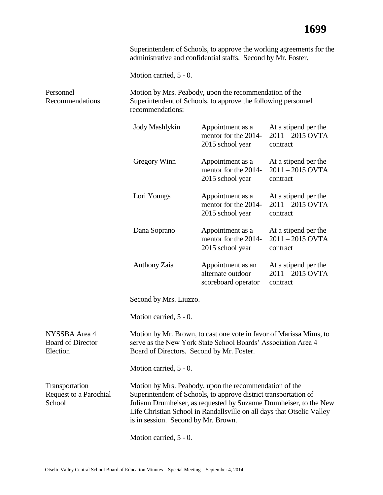|                                                       | Superintendent of Schools, to approve the working agreements for the<br>administrative and confidential staffs. Second by Mr. Foster.                                                                                                                                                                             |                                                               |                                                        |  |
|-------------------------------------------------------|-------------------------------------------------------------------------------------------------------------------------------------------------------------------------------------------------------------------------------------------------------------------------------------------------------------------|---------------------------------------------------------------|--------------------------------------------------------|--|
|                                                       | Motion carried, 5 - 0.                                                                                                                                                                                                                                                                                            |                                                               |                                                        |  |
| Personnel<br>Recommendations                          | Motion by Mrs. Peabody, upon the recommendation of the<br>Superintendent of Schools, to approve the following personnel<br>recommendations:                                                                                                                                                                       |                                                               |                                                        |  |
|                                                       | <b>Jody Mashlykin</b>                                                                                                                                                                                                                                                                                             | Appointment as a<br>mentor for the 2014-<br>2015 school year  | At a stipend per the<br>$2011 - 2015$ OVTA<br>contract |  |
|                                                       | Gregory Winn                                                                                                                                                                                                                                                                                                      | Appointment as a<br>mentor for the 2014-<br>2015 school year  | At a stipend per the<br>$2011 - 2015$ OVTA<br>contract |  |
|                                                       | Lori Youngs                                                                                                                                                                                                                                                                                                       | Appointment as a<br>mentor for the 2014-<br>2015 school year  | At a stipend per the<br>$2011 - 2015$ OVTA<br>contract |  |
|                                                       | Dana Soprano                                                                                                                                                                                                                                                                                                      | Appointment as a<br>mentor for the 2014-<br>2015 school year  | At a stipend per the<br>$2011 - 2015$ OVTA<br>contract |  |
|                                                       | <b>Anthony Zaia</b>                                                                                                                                                                                                                                                                                               | Appointment as an<br>alternate outdoor<br>scoreboard operator | At a stipend per the<br>$2011 - 2015$ OVTA<br>contract |  |
|                                                       | Second by Mrs. Liuzzo.                                                                                                                                                                                                                                                                                            |                                                               |                                                        |  |
|                                                       | Motion carried, 5 - 0.                                                                                                                                                                                                                                                                                            |                                                               |                                                        |  |
| NYSSBA Area 4<br><b>Board of Director</b><br>Election | Motion by Mr. Brown, to cast one vote in favor of Marissa Mims, to<br>serve as the New York State School Boards' Association Area 4<br>Board of Directors. Second by Mr. Foster.                                                                                                                                  |                                                               |                                                        |  |
|                                                       | Motion carried, 5 - 0.                                                                                                                                                                                                                                                                                            |                                                               |                                                        |  |
| Transportation<br>Request to a Parochial<br>School    | Motion by Mrs. Peabody, upon the recommendation of the<br>Superintendent of Schools, to approve district transportation of<br>Juliann Drumheiser, as requested by Suzanne Drumheiser, to the New<br>Life Christian School in Randallsville on all days that Otselic Valley<br>is in session. Second by Mr. Brown. |                                                               |                                                        |  |

Motion carried, 5 - 0.